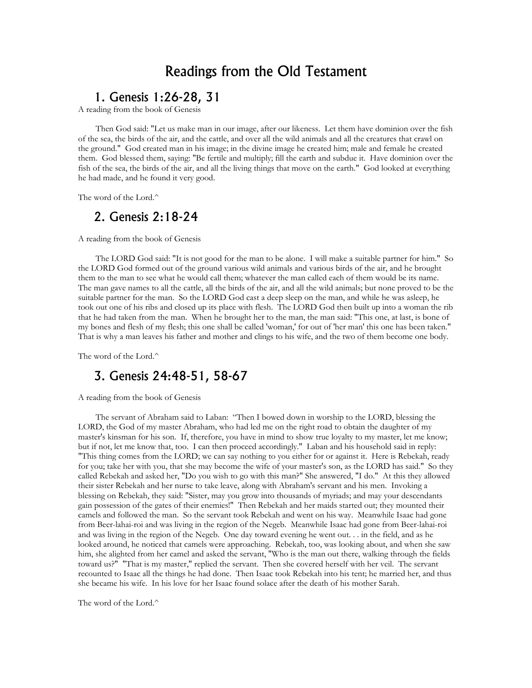# Readings from the Old Testament

#### 1. Genesis 1:26-28, 31

A reading from the book of Genesis

 Then God said: "Let us make man in our image, after our likeness. Let them have dominion over the fish of the sea, the birds of the air, and the cattle, and over all the wild animals and all the creatures that crawl on the ground." God created man in his image; in the divine image he created him; male and female he created them. God blessed them, saying: "Be fertile and multiply; fill the earth and subdue it. Have dominion over the fish of the sea, the birds of the air, and all the living things that move on the earth." God looked at everything he had made, and he found it very good.

The word of the Lord.^

#### 2. Genesis 2:18-24

A reading from the book of Genesis

 The LORD God said: "It is not good for the man to be alone. I will make a suitable partner for him." So the LORD God formed out of the ground various wild animals and various birds of the air, and he brought them to the man to see what he would call them; whatever the man called each of them would be its name. The man gave names to all the cattle, all the birds of the air, and all the wild animals; but none proved to be the suitable partner for the man. So the LORD God cast a deep sleep on the man, and while he was asleep, he took out one of his ribs and closed up its place with flesh. The LORD God then built up into a woman the rib that he had taken from the man. When he brought her to the man, the man said: "This one, at last, is bone of my bones and flesh of my flesh; this one shall be called 'woman,' for out of 'her man' this one has been taken." That is why a man leaves his father and mother and clings to his wife, and the two of them become one body.

The word of the Lord.<sup>^</sup>

## 3. Genesis 24:48-51, 58-67

A reading from the book of Genesis

 The servant of Abraham said to Laban: "Then I bowed down in worship to the LORD, blessing the LORD, the God of my master Abraham, who had led me on the right road to obtain the daughter of my master's kinsman for his son. If, therefore, you have in mind to show true loyalty to my master, let me know; but if not, let me know that, too. I can then proceed accordingly." Laban and his household said in reply: "This thing comes from the LORD; we can say nothing to you either for or against it. Here is Rebekah, ready for you; take her with you, that she may become the wife of your master's son, as the LORD has said." So they called Rebekah and asked her, "Do you wish to go with this man?" She answered, "I do." At this they allowed their sister Rebekah and her nurse to take leave, along with Abraham's servant and his men. Invoking a blessing on Rebekah, they said: "Sister, may you grow into thousands of myriads; and may your descendants gain possession of the gates of their enemies!" Then Rebekah and her maids started out; they mounted their camels and followed the man. So the servant took Rebekah and went on his way. Meanwhile Isaac had gone from Beer-lahai-roi and was living in the region of the Negeb. Meanwhile Isaac had gone from Beer-lahai-roi and was living in the region of the Negeb. One day toward evening he went out. . . in the field, and as he looked around, he noticed that camels were approaching. Rebekah, too, was looking about, and when she saw him, she alighted from her camel and asked the servant, "Who is the man out there, walking through the fields toward us?" "That is my master," replied the servant. Then she covered herself with her veil. The servant recounted to Isaac all the things he had done. Then Isaac took Rebekah into his tent; he married her, and thus she became his wife. In his love for her Isaac found solace after the death of his mother Sarah.

The word of the Lord.^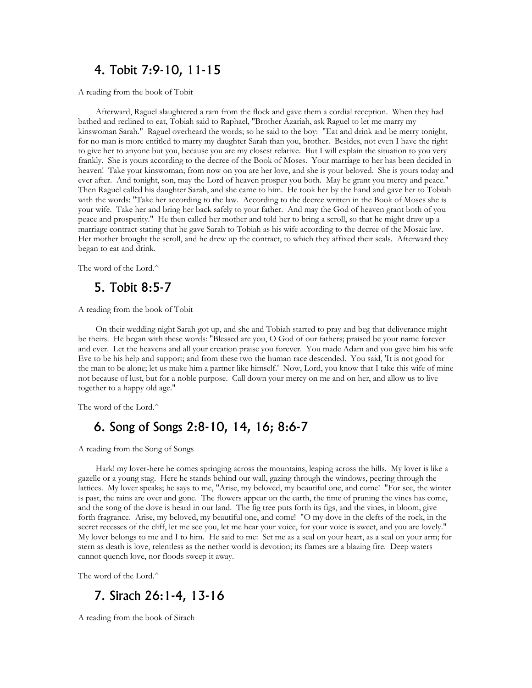#### 4. Tobit 7:9-10, 11-15

A reading from the book of Tobit

 Afterward, Raguel slaughtered a ram from the flock and gave them a cordial reception. When they had bathed and reclined to eat, Tobiah said to Raphael, "Brother Azariah, ask Raguel to let me marry my kinswoman Sarah." Raguel overheard the words; so he said to the boy: "Eat and drink and be merry tonight, for no man is more entitled to marry my daughter Sarah than you, brother. Besides, not even I have the right to give her to anyone but you, because you are my closest relative. But I will explain the situation to you very frankly. She is yours according to the decree of the Book of Moses. Your marriage to her has been decided in heaven! Take your kinswoman; from now on you are her love, and she is your beloved. She is yours today and ever after. And tonight, son, may the Lord of heaven prosper you both. May he grant you mercy and peace." Then Raguel called his daughter Sarah, and she came to him. He took her by the hand and gave her to Tobiah with the words: "Take her according to the law. According to the decree written in the Book of Moses she is your wife. Take her and bring her back safely to your father. And may the God of heaven grant both of you peace and prosperity." He then called her mother and told her to bring a scroll, so that he might draw up a marriage contract stating that he gave Sarah to Tobiah as his wife according to the decree of the Mosaic law. Her mother brought the scroll, and he drew up the contract, to which they affixed their seals. Afterward they began to eat and drink.

The word of the Lord.^

#### 5. Tobit 8:5-7

A reading from the book of Tobit

 On their wedding night Sarah got up, and she and Tobiah started to pray and beg that deliverance might be theirs. He began with these words: "Blessed are you, O God of our fathers; praised be your name forever and ever. Let the heavens and all your creation praise you forever. You made Adam and you gave him his wife Eve to be his help and support; and from these two the human race descended. You said, 'It is not good for the man to be alone; let us make him a partner like himself.' Now, Lord, you know that I take this wife of mine not because of lust, but for a noble purpose. Call down your mercy on me and on her, and allow us to live together to a happy old age."

The word of the Lord.<sup>^</sup>

### 6. Song of Songs 2:8-10, 14, 16; 8:6-7

A reading from the Song of Songs

 Hark! my lover-here he comes springing across the mountains, leaping across the hills. My lover is like a gazelle or a young stag. Here he stands behind our wall, gazing through the windows, peering through the lattices. My lover speaks; he says to me, "Arise, my beloved, my beautiful one, and come! "For see, the winter is past, the rains are over and gone. The flowers appear on the earth, the time of pruning the vines has come, and the song of the dove is heard in our land. The fig tree puts forth its figs, and the vines, in bloom, give forth fragrance. Arise, my beloved, my beautiful one, and come! "O my dove in the clefts of the rock, in the secret recesses of the cliff, let me see you, let me hear your voice, for your voice is sweet, and you are lovely." My lover belongs to me and I to him. He said to me: Set me as a seal on your heart, as a seal on your arm; for stern as death is love, relentless as the nether world is devotion; its flames are a blazing fire. Deep waters cannot quench love, nor floods sweep it away.

The word of the Lord.<sup>^</sup>

## 7. Sirach 26:1-4, 13-16

A reading from the book of Sirach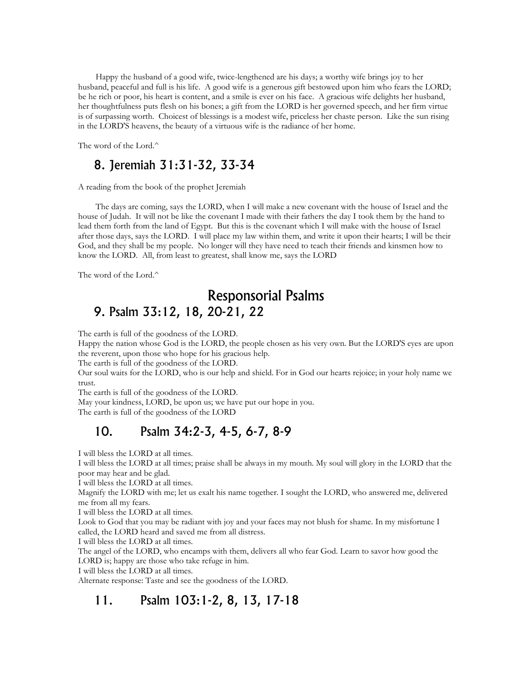Happy the husband of a good wife, twice-lengthened are his days; a worthy wife brings joy to her husband, peaceful and full is his life. A good wife is a generous gift bestowed upon him who fears the LORD; be he rich or poor, his heart is content, and a smile is ever on his face. A gracious wife delights her husband, her thoughtfulness puts flesh on his bones; a gift from the LORD is her governed speech, and her firm virtue is of surpassing worth. Choicest of blessings is a modest wife, priceless her chaste person. Like the sun rising in the LORD'S heavens, the beauty of a virtuous wife is the radiance of her home.

The word of the Lord.<sup>^</sup>

#### 8. Jeremiah 31:31-32, 33-34

A reading from the book of the prophet Jeremiah

 The days are coming, says the LORD, when I will make a new covenant with the house of Israel and the house of Judah. It will not be like the covenant I made with their fathers the day I took them by the hand to lead them forth from the land of Egypt. But this is the covenant which I will make with the house of Israel after those days, says the LORD. I will place my law within them, and write it upon their hearts; I will be their God, and they shall be my people. No longer will they have need to teach their friends and kinsmen how to know the LORD. All, from least to greatest, shall know me, says the LORD

The word of the Lord.<sup>^</sup>

# Responsorial Psalms 9. Psalm 33:12, 18, 20-21, 22

The earth is full of the goodness of the LORD.

Happy the nation whose God is the LORD, the people chosen as his very own. But the LORD'S eyes are upon the reverent, upon those who hope for his gracious help.

The earth is full of the goodness of the LORD.

Our soul waits for the LORD, who is our help and shield. For in God our hearts rejoice; in your holy name we trust.

The earth is full of the goodness of the LORD.

May your kindness, LORD, be upon us; we have put our hope in you. The earth is full of the goodness of the LORD

# 10. Psalm 34:2-3, 4-5, 6-7, 8-9

I will bless the LORD at all times.

I will bless the LORD at all times; praise shall be always in my mouth. My soul will glory in the LORD that the poor may hear and be glad.

I will bless the LORD at all times.

Magnify the LORD with me; let us exalt his name together. I sought the LORD, who answered me, delivered me from all my fears.

I will bless the LORD at all times.

Look to God that you may be radiant with joy and your faces may not blush for shame. In my misfortune I called, the LORD heard and saved me from all distress.

I will bless the LORD at all times.

The angel of the LORD, who encamps with them, delivers all who fear God. Learn to savor how good the LORD is; happy are those who take refuge in him.

I will bless the LORD at all times.

Alternate response: Taste and see the goodness of the LORD.

## 11. Psalm 103:1-2, 8, 13, 17-18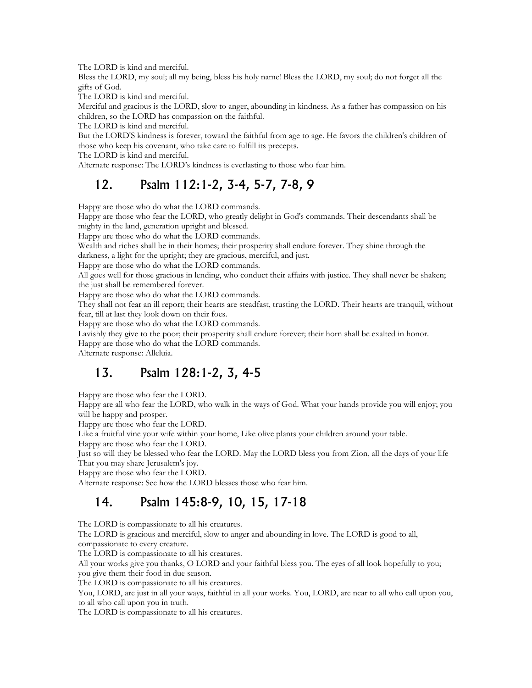The LORD is kind and merciful.

Bless the LORD, my soul; all my being, bless his holy name! Bless the LORD, my soul; do not forget all the gifts of God.

The LORD is kind and merciful.

Merciful and gracious is the LORD, slow to anger, abounding in kindness. As a father has compassion on his children, so the LORD has compassion on the faithful.

The LORD is kind and merciful.

But the LORD'S kindness is forever, toward the faithful from age to age. He favors the children's children of those who keep his covenant, who take care to fulfill its precepts.

The LORD is kind and merciful.

Alternate response: The LORD's kindness is everlasting to those who fear him.

# 12. Psalm 112:1-2, 3-4, 5-7, 7-8, 9

Happy are those who do what the LORD commands.

Happy are those who fear the LORD, who greatly delight in God's commands. Their descendants shall be mighty in the land, generation upright and blessed.

Happy are those who do what the LORD commands.

Wealth and riches shall be in their homes; their prosperity shall endure forever. They shine through the darkness, a light for the upright; they are gracious, merciful, and just.

Happy are those who do what the LORD commands.

All goes well for those gracious in lending, who conduct their affairs with justice. They shall never be shaken; the just shall be remembered forever.

Happy are those who do what the LORD commands.

They shall not fear an ill report; their hearts are steadfast, trusting the LORD. Their hearts are tranquil, without fear, till at last they look down on their foes.

Happy are those who do what the LORD commands.

Lavishly they give to the poor; their prosperity shall endure forever; their horn shall be exalted in honor. Happy are those who do what the LORD commands.

Alternate response: Alleluia.

# 13. Psalm 128:1-2, 3, 4-5

Happy are those who fear the LORD.

Happy are all who fear the LORD, who walk in the ways of God. What your hands provide you will enjoy; you will be happy and prosper.

Happy are those who fear the LORD.

Like a fruitful vine your wife within your home, Like olive plants your children around your table.

Happy are those who fear the LORD.

Just so will they be blessed who fear the LORD. May the LORD bless you from Zion, all the days of your life That you may share Jerusalem's joy.

Happy are those who fear the LORD.

Alternate response: See how the LORD blesses those who fear him.

# 14. Psalm 145:8-9, 10, 15, 17-18

The LORD is compassionate to all his creatures.

The LORD is gracious and merciful, slow to anger and abounding in love. The LORD is good to all, compassionate to every creature.

The LORD is compassionate to all his creatures.

All your works give you thanks, O LORD and your faithful bless you. The eyes of all look hopefully to you; you give them their food in due season.

The LORD is compassionate to all his creatures.

You, LORD, are just in all your ways, faithful in all your works. You, LORD, are near to all who call upon you, to all who call upon you in truth.

The LORD is compassionate to all his creatures.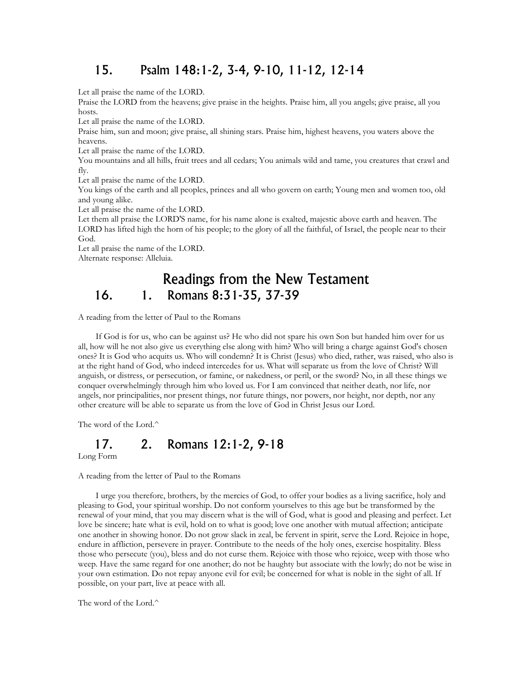# 15. Psalm 148:1-2, 3-4, 9-10, 11-12, 12-14

Let all praise the name of the LORD.

Praise the LORD from the heavens; give praise in the heights. Praise him, all you angels; give praise, all you hosts.

Let all praise the name of the LORD.

Praise him, sun and moon; give praise, all shining stars. Praise him, highest heavens, you waters above the heavens.

Let all praise the name of the LORD.

You mountains and all hills, fruit trees and all cedars; You animals wild and tame, you creatures that crawl and fly.

Let all praise the name of the LORD.

You kings of the earth and all peoples, princes and all who govern on earth; Young men and women too, old and young alike.

Let all praise the name of the LORD.

Let them all praise the LORD'S name, for his name alone is exalted, majestic above earth and heaven. The LORD has lifted high the horn of his people; to the glory of all the faithful, of Israel, the people near to their God.

Let all praise the name of the LORD.

Alternate response: Alleluia.

# Readings from the New Testament 16. 1. Romans 8:31-35, 37-39

A reading from the letter of Paul to the Romans

 If God is for us, who can be against us? He who did not spare his own Son but handed him over for us all, how will he not also give us everything else along with him? Who will bring a charge against God's chosen ones? It is God who acquits us. Who will condemn? It is Christ (Jesus) who died, rather, was raised, who also is at the right hand of God, who indeed intercedes for us. What will separate us from the love of Christ? Will anguish, or distress, or persecution, or famine, or nakedness, or peril, or the sword? No, in all these things we conquer overwhelmingly through him who loved us. For I am convinced that neither death, nor life, nor angels, nor principalities, nor present things, nor future things, nor powers, nor height, nor depth, nor any other creature will be able to separate us from the love of God in Christ Jesus our Lord.

The word of the Lord.<sup>^</sup>

#### 17. 2. Romans 12:1-2, 9-18

Long Form

A reading from the letter of Paul to the Romans

 I urge you therefore, brothers, by the mercies of God, to offer your bodies as a living sacrifice, holy and pleasing to God, your spiritual worship. Do not conform yourselves to this age but be transformed by the renewal of your mind, that you may discern what is the will of God, what is good and pleasing and perfect. Let love be sincere; hate what is evil, hold on to what is good; love one another with mutual affection; anticipate one another in showing honor. Do not grow slack in zeal, be fervent in spirit, serve the Lord. Rejoice in hope, endure in affliction, persevere in prayer. Contribute to the needs of the holy ones, exercise hospitality. Bless those who persecute (you), bless and do not curse them. Rejoice with those who rejoice, weep with those who weep. Have the same regard for one another; do not be haughty but associate with the lowly; do not be wise in your own estimation. Do not repay anyone evil for evil; be concerned for what is noble in the sight of all. If possible, on your part, live at peace with all.

The word of the Lord.^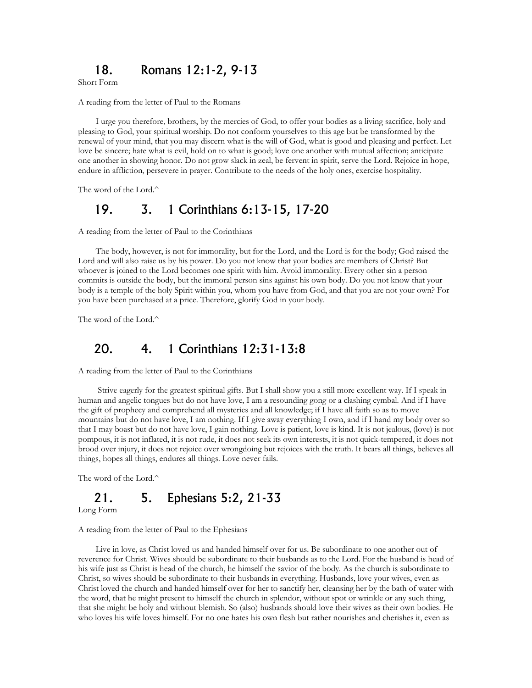# 18. Romans 12:1-2, 9-13

Short Form

A reading from the letter of Paul to the Romans

 I urge you therefore, brothers, by the mercies of God, to offer your bodies as a living sacrifice, holy and pleasing to God, your spiritual worship. Do not conform yourselves to this age but be transformed by the renewal of your mind, that you may discern what is the will of God, what is good and pleasing and perfect. Let love be sincere; hate what is evil, hold on to what is good; love one another with mutual affection; anticipate one another in showing honor. Do not grow slack in zeal, be fervent in spirit, serve the Lord. Rejoice in hope, endure in affliction, persevere in prayer. Contribute to the needs of the holy ones, exercise hospitality.

The word of the Lord.^

### 19. 3. 1 Corinthians 6:13-15, 17-20

A reading from the letter of Paul to the Corinthians

 The body, however, is not for immorality, but for the Lord, and the Lord is for the body; God raised the Lord and will also raise us by his power. Do you not know that your bodies are members of Christ? But whoever is joined to the Lord becomes one spirit with him. Avoid immorality. Every other sin a person commits is outside the body, but the immoral person sins against his own body. Do you not know that your body is a temple of the holy Spirit within you, whom you have from God, and that you are not your own? For you have been purchased at a price. Therefore, glorify God in your body.

The word of the Lord.^

#### 20. 4. 1 Corinthians 12:31-13:8

A reading from the letter of Paul to the Corinthians

 Strive eagerly for the greatest spiritual gifts. But I shall show you a still more excellent way. If I speak in human and angelic tongues but do not have love, I am a resounding gong or a clashing cymbal. And if I have the gift of prophecy and comprehend all mysteries and all knowledge; if I have all faith so as to move mountains but do not have love, I am nothing. If I give away everything I own, and if I hand my body over so that I may boast but do not have love, I gain nothing. Love is patient, love is kind. It is not jealous, (love) is not pompous, it is not inflated, it is not rude, it does not seek its own interests, it is not quick-tempered, it does not brood over injury, it does not rejoice over wrongdoing but rejoices with the truth. It bears all things, believes all things, hopes all things, endures all things. Love never fails.

The word of the Lord.^

# 21. 5. Ephesians 5:2, 21-33

Long Form

#### A reading from the letter of Paul to the Ephesians

 Live in love, as Christ loved us and handed himself over for us. Be subordinate to one another out of reverence for Christ. Wives should be subordinate to their husbands as to the Lord. For the husband is head of his wife just as Christ is head of the church, he himself the savior of the body. As the church is subordinate to Christ, so wives should be subordinate to their husbands in everything. Husbands, love your wives, even as Christ loved the church and handed himself over for her to sanctify her, cleansing her by the bath of water with the word, that he might present to himself the church in splendor, without spot or wrinkle or any such thing, that she might be holy and without blemish. So (also) husbands should love their wives as their own bodies. He who loves his wife loves himself. For no one hates his own flesh but rather nourishes and cherishes it, even as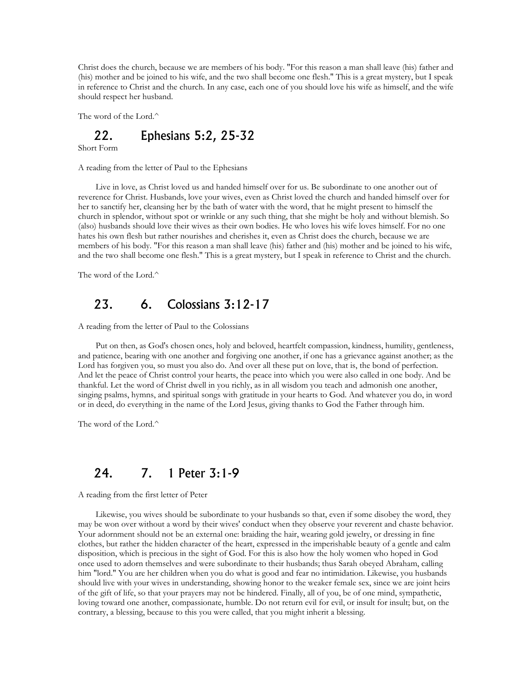Christ does the church, because we are members of his body. "For this reason a man shall leave (his) father and (his) mother and be joined to his wife, and the two shall become one flesh." This is a great mystery, but I speak in reference to Christ and the church. In any case, each one of you should love his wife as himself, and the wife should respect her husband.

The word of the Lord.^

#### 22. Ephesians 5:2, 25-32

Short Form

A reading from the letter of Paul to the Ephesians

 Live in love, as Christ loved us and handed himself over for us. Be subordinate to one another out of reverence for Christ. Husbands, love your wives, even as Christ loved the church and handed himself over for her to sanctify her, cleansing her by the bath of water with the word, that he might present to himself the church in splendor, without spot or wrinkle or any such thing, that she might be holy and without blemish. So (also) husbands should love their wives as their own bodies. He who loves his wife loves himself. For no one hates his own flesh but rather nourishes and cherishes it, even as Christ does the church, because we are members of his body. "For this reason a man shall leave (his) father and (his) mother and be joined to his wife, and the two shall become one flesh." This is a great mystery, but I speak in reference to Christ and the church.

The word of the Lord.<sup>^</sup>

#### 23. 6. Colossians 3:12-17

A reading from the letter of Paul to the Colossians

 Put on then, as God's chosen ones, holy and beloved, heartfelt compassion, kindness, humility, gentleness, and patience, bearing with one another and forgiving one another, if one has a grievance against another; as the Lord has forgiven you, so must you also do. And over all these put on love, that is, the bond of perfection. And let the peace of Christ control your hearts, the peace into which you were also called in one body. And be thankful. Let the word of Christ dwell in you richly, as in all wisdom you teach and admonish one another, singing psalms, hymns, and spiritual songs with gratitude in your hearts to God. And whatever you do, in word or in deed, do everything in the name of the Lord Jesus, giving thanks to God the Father through him.

The word of the Lord.^

#### 24. 7. 1 Peter 3:1-9

A reading from the first letter of Peter

 Likewise, you wives should be subordinate to your husbands so that, even if some disobey the word, they may be won over without a word by their wives' conduct when they observe your reverent and chaste behavior. Your adornment should not be an external one: braiding the hair, wearing gold jewelry, or dressing in fine clothes, but rather the hidden character of the heart, expressed in the imperishable beauty of a gentle and calm disposition, which is precious in the sight of God. For this is also how the holy women who hoped in God once used to adorn themselves and were subordinate to their husbands; thus Sarah obeyed Abraham, calling him "lord." You are her children when you do what is good and fear no intimidation. Likewise, you husbands should live with your wives in understanding, showing honor to the weaker female sex, since we are joint heirs of the gift of life, so that your prayers may not be hindered. Finally, all of you, be of one mind, sympathetic, loving toward one another, compassionate, humble. Do not return evil for evil, or insult for insult; but, on the contrary, a blessing, because to this you were called, that you might inherit a blessing.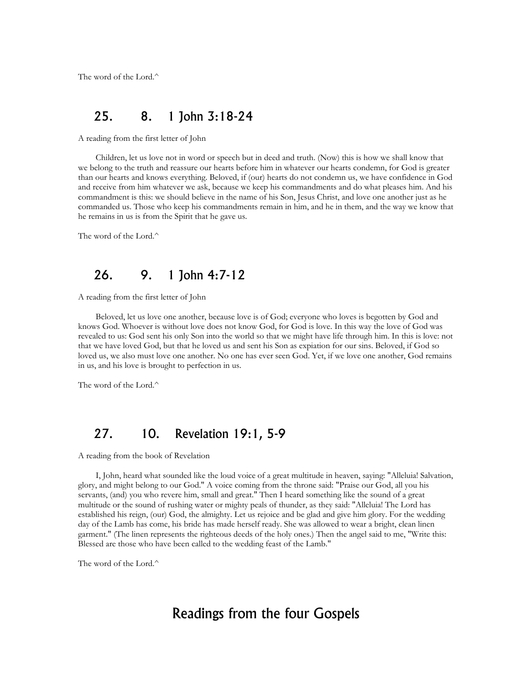The word of the Lord.<sup>^</sup>

#### 25. 8. 1 John 3:18-24

A reading from the first letter of John

 Children, let us love not in word or speech but in deed and truth. (Now) this is how we shall know that we belong to the truth and reassure our hearts before him in whatever our hearts condemn, for God is greater than our hearts and knows everything. Beloved, if (our) hearts do not condemn us, we have confidence in God and receive from him whatever we ask, because we keep his commandments and do what pleases him. And his commandment is this: we should believe in the name of his Son, Jesus Christ, and love one another just as he commanded us. Those who keep his commandments remain in him, and he in them, and the way we know that he remains in us is from the Spirit that he gave us.

The word of the Lord.^

#### 26. 9. 1 John 4:7-12

A reading from the first letter of John

 Beloved, let us love one another, because love is of God; everyone who loves is begotten by God and knows God. Whoever is without love does not know God, for God is love. In this way the love of God was revealed to us: God sent his only Son into the world so that we might have life through him. In this is love: not that we have loved God, but that he loved us and sent his Son as expiation for our sins. Beloved, if God so loved us, we also must love one another. No one has ever seen God. Yet, if we love one another, God remains in us, and his love is brought to perfection in us.

The word of the Lord.<sup>^</sup>

#### 27. 10. Revelation 19:1, 5-9

A reading from the book of Revelation

 I, John, heard what sounded like the loud voice of a great multitude in heaven, saying: "Alleluia! Salvation, glory, and might belong to our God." A voice coming from the throne said: "Praise our God, all you his servants, (and) you who revere him, small and great." Then I heard something like the sound of a great multitude or the sound of rushing water or mighty peals of thunder, as they said: "Alleluia! The Lord has established his reign, (our) God, the almighty. Let us rejoice and be glad and give him glory. For the wedding day of the Lamb has come, his bride has made herself ready. She was allowed to wear a bright, clean linen garment." (The linen represents the righteous deeds of the holy ones.) Then the angel said to me, "Write this: Blessed are those who have been called to the wedding feast of the Lamb."

The word of the Lord.^

# Readings from the four Gospels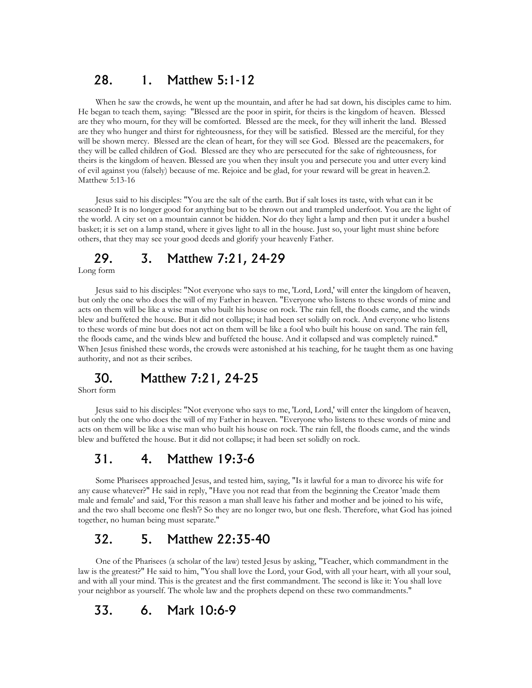#### 28. 1. Matthew 5:1-12

 When he saw the crowds, he went up the mountain, and after he had sat down, his disciples came to him. He began to teach them, saying: "Blessed are the poor in spirit, for theirs is the kingdom of heaven. Blessed are they who mourn, for they will be comforted. Blessed are the meek, for they will inherit the land. Blessed are they who hunger and thirst for righteousness, for they will be satisfied. Blessed are the merciful, for they will be shown mercy. Blessed are the clean of heart, for they will see God. Blessed are the peacemakers, for they will be called children of God. Blessed are they who are persecuted for the sake of righteousness, for theirs is the kingdom of heaven. Blessed are you when they insult you and persecute you and utter every kind of evil against you (falsely) because of me. Rejoice and be glad, for your reward will be great in heaven.2. Matthew 5:13-16

 Jesus said to his disciples: "You are the salt of the earth. But if salt loses its taste, with what can it be seasoned? It is no longer good for anything but to be thrown out and trampled underfoot. You are the light of the world. A city set on a mountain cannot be hidden. Nor do they light a lamp and then put it under a bushel basket; it is set on a lamp stand, where it gives light to all in the house. Just so, your light must shine before others, that they may see your good deeds and glorify your heavenly Father.

# 29. 3. Matthew 7:21, 24-29

Long form

 Jesus said to his disciples: "Not everyone who says to me, 'Lord, Lord,' will enter the kingdom of heaven, but only the one who does the will of my Father in heaven. "Everyone who listens to these words of mine and acts on them will be like a wise man who built his house on rock. The rain fell, the floods came, and the winds blew and buffeted the house. But it did not collapse; it had been set solidly on rock. And everyone who listens to these words of mine but does not act on them will be like a fool who built his house on sand. The rain fell, the floods came, and the winds blew and buffeted the house. And it collapsed and was completely ruined." When Jesus finished these words, the crowds were astonished at his teaching, for he taught them as one having authority, and not as their scribes.

#### 30. Matthew 7:21, 24-25

Short form

 Jesus said to his disciples: "Not everyone who says to me, 'Lord, Lord,' will enter the kingdom of heaven, but only the one who does the will of my Father in heaven. "Everyone who listens to these words of mine and acts on them will be like a wise man who built his house on rock. The rain fell, the floods came, and the winds blew and buffeted the house. But it did not collapse; it had been set solidly on rock.

### 31. 4. Matthew 19:3-6

 Some Pharisees approached Jesus, and tested him, saying, "Is it lawful for a man to divorce his wife for any cause whatever?" He said in reply, "Have you not read that from the beginning the Creator 'made them male and female' and said, 'For this reason a man shall leave his father and mother and be joined to his wife, and the two shall become one flesh'? So they are no longer two, but one flesh. Therefore, what God has joined together, no human being must separate."

#### 32. 5. Matthew 22:35-40

 One of the Pharisees (a scholar of the law) tested Jesus by asking, "Teacher, which commandment in the law is the greatest?" He said to him, "You shall love the Lord, your God, with all your heart, with all your soul, and with all your mind. This is the greatest and the first commandment. The second is like it: You shall love your neighbor as yourself. The whole law and the prophets depend on these two commandments."

#### 33. 6. Mark 10:6-9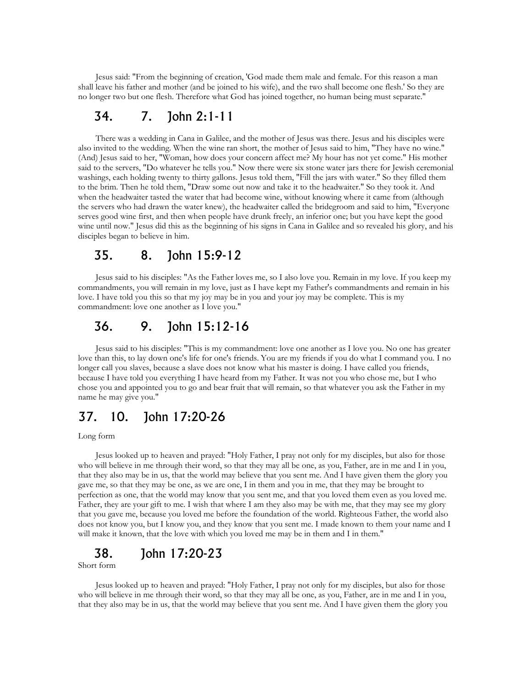Jesus said: "From the beginning of creation, 'God made them male and female. For this reason a man shall leave his father and mother (and be joined to his wife), and the two shall become one flesh.' So they are no longer two but one flesh. Therefore what God has joined together, no human being must separate."

# 34. 7. John 2:1-11

 There was a wedding in Cana in Galilee, and the mother of Jesus was there. Jesus and his disciples were also invited to the wedding. When the wine ran short, the mother of Jesus said to him, "They have no wine." (And) Jesus said to her, "Woman, how does your concern affect me? My hour has not yet come." His mother said to the servers, "Do whatever he tells you." Now there were six stone water jars there for Jewish ceremonial washings, each holding twenty to thirty gallons. Jesus told them, "Fill the jars with water." So they filled them to the brim. Then he told them, "Draw some out now and take it to the headwaiter." So they took it. And when the headwaiter tasted the water that had become wine, without knowing where it came from (although the servers who had drawn the water knew), the headwaiter called the bridegroom and said to him, "Everyone serves good wine first, and then when people have drunk freely, an inferior one; but you have kept the good wine until now." Jesus did this as the beginning of his signs in Cana in Galilee and so revealed his glory, and his disciples began to believe in him.

#### 35. 8. John 15:9-12

 Jesus said to his disciples: "As the Father loves me, so I also love you. Remain in my love. If you keep my commandments, you will remain in my love, just as I have kept my Father's commandments and remain in his love. I have told you this so that my joy may be in you and your joy may be complete. This is my commandment: love one another as I love you."

#### 36. 9. John 15:12-16

 Jesus said to his disciples: "This is my commandment: love one another as I love you. No one has greater love than this, to lay down one's life for one's friends. You are my friends if you do what I command you. I no longer call you slaves, because a slave does not know what his master is doing. I have called you friends, because I have told you everything I have heard from my Father. It was not you who chose me, but I who chose you and appointed you to go and bear fruit that will remain, so that whatever you ask the Father in my name he may give you."

# 37. 10. John 17:20-26

Long form

 Jesus looked up to heaven and prayed: "Holy Father, I pray not only for my disciples, but also for those who will believe in me through their word, so that they may all be one, as you, Father, are in me and I in you, that they also may be in us, that the world may believe that you sent me. And I have given them the glory you gave me, so that they may be one, as we are one, I in them and you in me, that they may be brought to perfection as one, that the world may know that you sent me, and that you loved them even as you loved me. Father, they are your gift to me. I wish that where I am they also may be with me, that they may see my glory that you gave me, because you loved me before the foundation of the world. Righteous Father, the world also does not know you, but I know you, and they know that you sent me. I made known to them your name and I will make it known, that the love with which you loved me may be in them and I in them."

# 38. John 17:20-23

#### Short form

 Jesus looked up to heaven and prayed: "Holy Father, I pray not only for my disciples, but also for those who will believe in me through their word, so that they may all be one, as you, Father, are in me and I in you, that they also may be in us, that the world may believe that you sent me. And I have given them the glory you